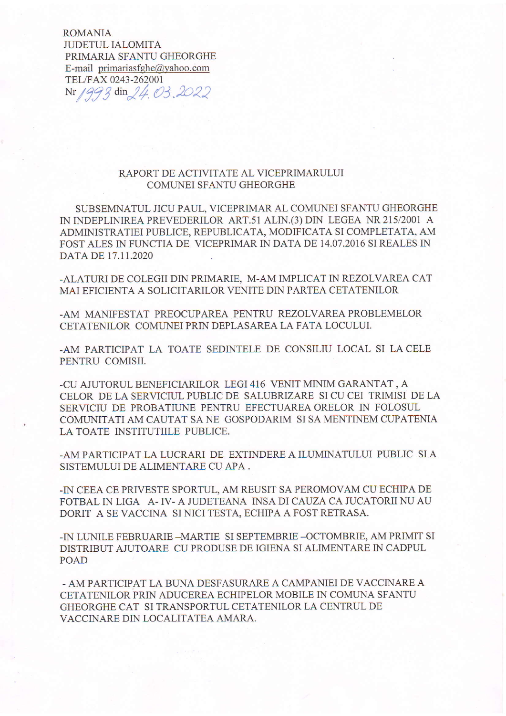**ROMANIA JUDETUL IALOMITA** PRIMARIA SFANTU GHEORGHE E-mail primariasfghe@yahoo.com TEL/FAX 0243-262001 Nr 1993 din 24.03.2022

## RAPORT DE ACTIVITATE AL VICEPRIMARULUI **COMUNEI SFANTU GHEORGHE**

SUBSEMNATUL JICU PAUL, VICEPRIMAR AL COMUNEI SFANTU GHEORGHE IN INDEPLINIREA PREVEDERILOR ART.51 ALIN.(3) DIN LEGEA NR 215/2001 A ADMINISTRATIEI PUBLICE, REPUBLICATA, MODIFICATA SI COMPLETATA, AM FOST ALES IN FUNCTIA DE VICEPRIMAR IN DATA DE 14.07.2016 SI REALES IN DATA DE 17.11.2020

-ALATURI DE COLEGII DIN PRIMARIE, M-AM IMPLICAT IN REZOLVAREA CAT MAI EFICIENTA A SOLICITARILOR VENITE DIN PARTEA CETATENILOR

-AM MANIFESTAT PREOCUPAREA PENTRU REZOLVAREA PROBLEMELOR CETATENILOR COMUNEI PRIN DEPLASAREA LA FATA LOCULUI.

-AM PARTICIPAT LA TOATE SEDINTELE DE CONSILIU LOCAL SI LA CELE PENTRU COMISII.

-CU AJUTORUL BENEFICIARILOR LEGI 416 VENIT MINIM GARANTAT, A CELOR DE LA SERVICIUL PUBLIC DE SALUBRIZARE SI CU CEI TRIMISI DE LA SERVICIU DE PROBATIUNE PENTRU EFECTUAREA ORELOR IN FOLOSUL COMUNITATI AM CAUTAT SA NE GOSPODARIM SI SA MENTINEM CUPATENIA LA TOATE INSTITUTIILE PUBLICE.

-AM PARTICIPAT LA LUCRARI DE EXTINDERE A ILUMINATULUI PUBLIC SI A SISTEMULUI DE ALIMENTARE CU APA.

-IN CEEA CE PRIVESTE SPORTUL, AM REUSIT SA PEROMOVAM CU ECHIPA DE FOTBAL IN LIGA A-IV-A JUDETEANA INSA DI CAUZA CA JUCATORII NU AU DORIT A SE VACCINA SI NICI TESTA, ECHIPA A FOST RETRASA.

-IN LUNILE FEBRUARIE -MARTIE SI SEPTEMBRIE -OCTOMBRIE, AM PRIMIT SI DISTRIBUT AJUTOARE CU PRODUSE DE IGIENA SI ALIMENTARE IN CADPUL POAD

- AM PARTICIPAT LA BUNA DESFASURARE A CAMPANIEI DE VACCINARE A CETATENILOR PRIN ADUCEREA ECHIPELOR MOBILE IN COMUNA SFANTU GHEORGHE CAT SI TRANSPORTUL CETATENILOR LA CENTRUL DE VACCINARE DIN LOCALITATEA AMARA.